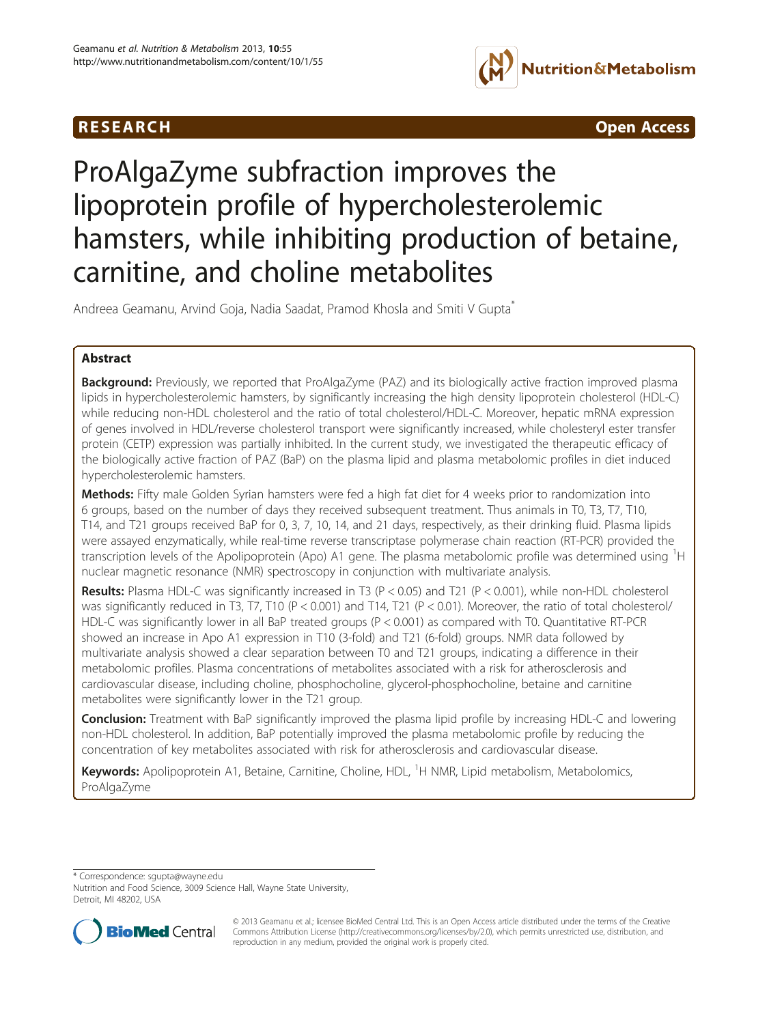## R E S EAR CH Open Access



# ProAlgaZyme subfraction improves the lipoprotein profile of hypercholesterolemic hamsters, while inhibiting production of betaine, carnitine, and choline metabolites

Andreea Geamanu, Arvind Goja, Nadia Saadat, Pramod Khosla and Smiti V Gupta<sup>\*</sup>

## Abstract

**Background:** Previously, we reported that ProAlgaZyme (PAZ) and its biologically active fraction improved plasma lipids in hypercholesterolemic hamsters, by significantly increasing the high density lipoprotein cholesterol (HDL-C) while reducing non-HDL cholesterol and the ratio of total cholesterol/HDL-C. Moreover, hepatic mRNA expression of genes involved in HDL/reverse cholesterol transport were significantly increased, while cholesteryl ester transfer protein (CETP) expression was partially inhibited. In the current study, we investigated the therapeutic efficacy of the biologically active fraction of PAZ (BaP) on the plasma lipid and plasma metabolomic profiles in diet induced hypercholesterolemic hamsters.

Methods: Fifty male Golden Syrian hamsters were fed a high fat diet for 4 weeks prior to randomization into 6 groups, based on the number of days they received subsequent treatment. Thus animals in T0, T3, T7, T10, T14, and T21 groups received BaP for 0, 3, 7, 10, 14, and 21 days, respectively, as their drinking fluid. Plasma lipids were assayed enzymatically, while real-time reverse transcriptase polymerase chain reaction (RT-PCR) provided the transcription levels of the Apolipoprotein (Apo) A1 gene. The plasma metabolomic profile was determined using <sup>1</sup>H nuclear magnetic resonance (NMR) spectroscopy in conjunction with multivariate analysis.

Results: Plasma HDL-C was significantly increased in T3 (P < 0.05) and T21 (P < 0.001), while non-HDL cholesterol was significantly reduced in T3, T7, T10 (P < 0.001) and T14, T21 (P < 0.01). Moreover, the ratio of total cholesterol/ HDL-C was significantly lower in all BaP treated groups (P < 0.001) as compared with T0. Quantitative RT-PCR showed an increase in Apo A1 expression in T10 (3-fold) and T21 (6-fold) groups. NMR data followed by multivariate analysis showed a clear separation between T0 and T21 groups, indicating a difference in their metabolomic profiles. Plasma concentrations of metabolites associated with a risk for atherosclerosis and cardiovascular disease, including choline, phosphocholine, glycerol-phosphocholine, betaine and carnitine metabolites were significantly lower in the T21 group.

**Conclusion:** Treatment with BaP significantly improved the plasma lipid profile by increasing HDL-C and lowering non-HDL cholesterol. In addition, BaP potentially improved the plasma metabolomic profile by reducing the concentration of key metabolites associated with risk for atherosclerosis and cardiovascular disease.

Keywords: Apolipoprotein A1, Betaine, Carnitine, Choline, HDL, <sup>1</sup>H NMR, Lipid metabolism, Metabolomics, ProAlgaZyme

\* Correspondence: [sgupta@wayne.edu](mailto:sgupta@wayne.edu)

Nutrition and Food Science, 3009 Science Hall, Wayne State University, Detroit, MI 48202, USA



© 2013 Geamanu et al.; licensee BioMed Central Ltd. This is an Open Access article distributed under the terms of the Creative Commons Attribution License [\(http://creativecommons.org/licenses/by/2.0\)](http://creativecommons.org/licenses/by/2.0), which permits unrestricted use, distribution, and reproduction in any medium, provided the original work is properly cited.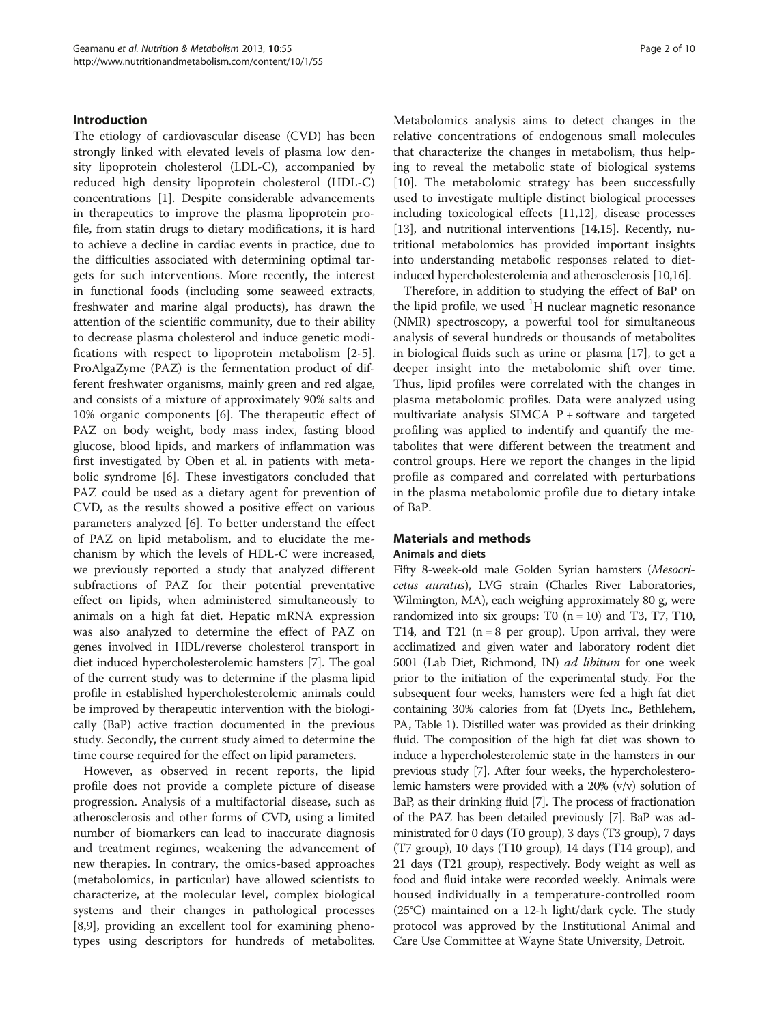#### Introduction

The etiology of cardiovascular disease (CVD) has been strongly linked with elevated levels of plasma low density lipoprotein cholesterol (LDL-C), accompanied by reduced high density lipoprotein cholesterol (HDL-C) concentrations [\[1](#page-9-0)]. Despite considerable advancements in therapeutics to improve the plasma lipoprotein profile, from statin drugs to dietary modifications, it is hard to achieve a decline in cardiac events in practice, due to the difficulties associated with determining optimal targets for such interventions. More recently, the interest in functional foods (including some seaweed extracts, freshwater and marine algal products), has drawn the attention of the scientific community, due to their ability to decrease plasma cholesterol and induce genetic modifications with respect to lipoprotein metabolism [[2-5](#page-9-0)]. ProAlgaZyme (PAZ) is the fermentation product of different freshwater organisms, mainly green and red algae, and consists of a mixture of approximately 90% salts and 10% organic components [\[6](#page-9-0)]. The therapeutic effect of PAZ on body weight, body mass index, fasting blood glucose, blood lipids, and markers of inflammation was first investigated by Oben et al. in patients with metabolic syndrome [[6\]](#page-9-0). These investigators concluded that PAZ could be used as a dietary agent for prevention of CVD, as the results showed a positive effect on various parameters analyzed [[6\]](#page-9-0). To better understand the effect of PAZ on lipid metabolism, and to elucidate the mechanism by which the levels of HDL-C were increased, we previously reported a study that analyzed different subfractions of PAZ for their potential preventative effect on lipids, when administered simultaneously to animals on a high fat diet. Hepatic mRNA expression was also analyzed to determine the effect of PAZ on genes involved in HDL/reverse cholesterol transport in diet induced hypercholesterolemic hamsters [\[7](#page-9-0)]. The goal of the current study was to determine if the plasma lipid profile in established hypercholesterolemic animals could be improved by therapeutic intervention with the biologically (BaP) active fraction documented in the previous study. Secondly, the current study aimed to determine the time course required for the effect on lipid parameters.

However, as observed in recent reports, the lipid profile does not provide a complete picture of disease progression. Analysis of a multifactorial disease, such as atherosclerosis and other forms of CVD, using a limited number of biomarkers can lead to inaccurate diagnosis and treatment regimes, weakening the advancement of new therapies. In contrary, the omics-based approaches (metabolomics, in particular) have allowed scientists to characterize, at the molecular level, complex biological systems and their changes in pathological processes [[8,9\]](#page-9-0), providing an excellent tool for examining phenotypes using descriptors for hundreds of metabolites. Metabolomics analysis aims to detect changes in the relative concentrations of endogenous small molecules that characterize the changes in metabolism, thus helping to reveal the metabolic state of biological systems [[10\]](#page-9-0). The metabolomic strategy has been successfully used to investigate multiple distinct biological processes including toxicological effects [\[11,12](#page-9-0)], disease processes [[13](#page-9-0)], and nutritional interventions [\[14,15](#page-9-0)]. Recently, nutritional metabolomics has provided important insights into understanding metabolic responses related to dietinduced hypercholesterolemia and atherosclerosis [\[10,16](#page-9-0)].

Therefore, in addition to studying the effect of BaP on the lipid profile, we used  ${}^{1}$ H nuclear magnetic resonance (NMR) spectroscopy, a powerful tool for simultaneous analysis of several hundreds or thousands of metabolites in biological fluids such as urine or plasma [[17\]](#page-9-0), to get a deeper insight into the metabolomic shift over time. Thus, lipid profiles were correlated with the changes in plasma metabolomic profiles. Data were analyzed using multivariate analysis SIMCA  $P$  + software and targeted profiling was applied to indentify and quantify the metabolites that were different between the treatment and control groups. Here we report the changes in the lipid profile as compared and correlated with perturbations in the plasma metabolomic profile due to dietary intake of BaP.

#### Materials and methods

#### Animals and diets

Fifty 8-week-old male Golden Syrian hamsters (Mesocricetus auratus), LVG strain (Charles River Laboratories, Wilmington, MA), each weighing approximately 80 g, were randomized into six groups: T0  $(n = 10)$  and T3, T7, T10, T14, and T21 ( $n = 8$  per group). Upon arrival, they were acclimatized and given water and laboratory rodent diet 5001 (Lab Diet, Richmond, IN) ad libitum for one week prior to the initiation of the experimental study. For the subsequent four weeks, hamsters were fed a high fat diet containing 30% calories from fat (Dyets Inc., Bethlehem, PA, Table [1](#page-2-0)). Distilled water was provided as their drinking fluid. The composition of the high fat diet was shown to induce a hypercholesterolemic state in the hamsters in our previous study [[7](#page-9-0)]. After four weeks, the hypercholesterolemic hamsters were provided with a 20% (v/v) solution of BaP, as their drinking fluid [\[7\]](#page-9-0). The process of fractionation of the PAZ has been detailed previously [\[7](#page-9-0)]. BaP was administrated for 0 days (T0 group), 3 days (T3 group), 7 days (T7 group), 10 days (T10 group), 14 days (T14 group), and 21 days (T21 group), respectively. Body weight as well as food and fluid intake were recorded weekly. Animals were housed individually in a temperature-controlled room (25°C) maintained on a 12-h light/dark cycle. The study protocol was approved by the Institutional Animal and Care Use Committee at Wayne State University, Detroit.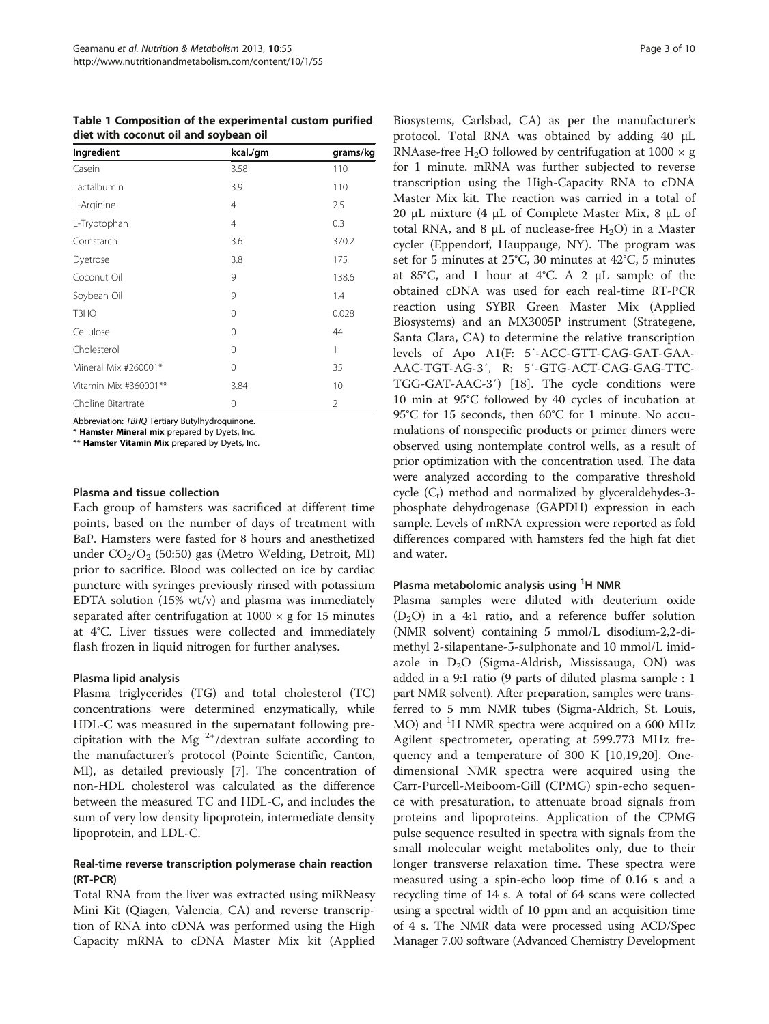<span id="page-2-0"></span>Table 1 Composition of the experimental custom purified diet with coconut oil and soybean oil

| Ingredient            | kcal./gm | grams/kg       |
|-----------------------|----------|----------------|
| Casein                | 3.58     | 110            |
| Lactalbumin           | 3.9      | 110            |
| L-Arginine            | 4        | 2.5            |
| L-Tryptophan          | 4        | 0.3            |
| Cornstarch            | 3.6      | 370.2          |
| Dyetrose              | 3.8      | 175            |
| Coconut Oil           | 9        | 138.6          |
| Soybean Oil           | 9        | 1.4            |
| <b>TBHQ</b>           | $\Omega$ | 0.028          |
| Cellulose             | $\Omega$ | 44             |
| Cholesterol           | 0        | 1              |
| Mineral Mix #260001*  | 0        | 35             |
| Vitamin Mix #360001** | 3.84     | 10             |
| Choline Bitartrate    | 0        | $\overline{2}$ |

Abbreviation: TBHQ Tertiary Butylhydroquinone.

\* Hamster Mineral mix prepared by Dyets, Inc.

\*\* Hamster Vitamin Mix prepared by Dyets, Inc.

#### Plasma and tissue collection

Each group of hamsters was sacrificed at different time points, based on the number of days of treatment with BaP. Hamsters were fasted for 8 hours and anesthetized under  $CO<sub>2</sub>/O<sub>2</sub>$  (50:50) gas (Metro Welding, Detroit, MI) prior to sacrifice. Blood was collected on ice by cardiac puncture with syringes previously rinsed with potassium EDTA solution (15% wt/v) and plasma was immediately separated after centrifugation at  $1000 \times g$  for 15 minutes at 4°C. Liver tissues were collected and immediately flash frozen in liquid nitrogen for further analyses.

#### Plasma lipid analysis

Plasma triglycerides (TG) and total cholesterol (TC) concentrations were determined enzymatically, while HDL-C was measured in the supernatant following precipitation with the Mg  $2^{+}/$ dextran sulfate according to the manufacturer's protocol (Pointe Scientific, Canton, MI), as detailed previously [\[7](#page-9-0)]. The concentration of non-HDL cholesterol was calculated as the difference between the measured TC and HDL-C, and includes the sum of very low density lipoprotein, intermediate density lipoprotein, and LDL-C.

### Real-time reverse transcription polymerase chain reaction (RT-PCR)

Total RNA from the liver was extracted using miRNeasy Mini Kit (Qiagen, Valencia, CA) and reverse transcription of RNA into cDNA was performed using the High Capacity mRNA to cDNA Master Mix kit (Applied

Biosystems, Carlsbad, CA) as per the manufacturer's protocol. Total RNA was obtained by adding 40 μL RNAase-free H<sub>2</sub>O followed by centrifugation at  $1000 \times g$ for 1 minute. mRNA was further subjected to reverse transcription using the High-Capacity RNA to cDNA Master Mix kit. The reaction was carried in a total of 20 μL mixture (4 μL of Complete Master Mix, 8 μL of total RNA, and 8 μL of nuclease-free H<sub>2</sub>O) in a Master cycler (Eppendorf, Hauppauge, NY). The program was set for 5 minutes at 25°C, 30 minutes at 42°C, 5 minutes at 85°C, and 1 hour at 4°C. A 2 μL sample of the obtained cDNA was used for each real-time RT-PCR reaction using SYBR Green Master Mix (Applied Biosystems) and an MX3005P instrument (Strategene, Santa Clara, CA) to determine the relative transcription levels of Apo A1(F: 5′-ACC-GTT-CAG-GAT-GAA-AAC-TGT-AG-3′, R: 5′-GTG-ACT-CAG-GAG-TTC-TGG-GAT-AAC-3′) [\[18](#page-9-0)]. The cycle conditions were 10 min at 95°C followed by 40 cycles of incubation at 95°C for 15 seconds, then 60°C for 1 minute. No accumulations of nonspecific products or primer dimers were observed using nontemplate control wells, as a result of prior optimization with the concentration used. The data were analyzed according to the comparative threshold cycle  $(C_t)$  method and normalized by glyceraldehydes-3phosphate dehydrogenase (GAPDH) expression in each sample. Levels of mRNA expression were reported as fold differences compared with hamsters fed the high fat diet and water.

## Plasma metabolomic analysis using <sup>1</sup>H NMR

Plasma samples were diluted with deuterium oxide  $(D_2O)$  in a 4:1 ratio, and a reference buffer solution (NMR solvent) containing 5 mmol/L disodium-2,2-dimethyl 2-silapentane-5-sulphonate and 10 mmol/L imidazole in  $D_2O$  (Sigma-Aldrish, Mississauga, ON) was added in a 9:1 ratio (9 parts of diluted plasma sample : 1 part NMR solvent). After preparation, samples were transferred to 5 mm NMR tubes (Sigma-Aldrich, St. Louis, MO) and <sup>1</sup>H NMR spectra were acquired on a 600 MHz Agilent spectrometer, operating at 599.773 MHz frequency and a temperature of 300 K [\[10](#page-9-0),[19,20\]](#page-9-0). Onedimensional NMR spectra were acquired using the Carr-Purcell-Meiboom-Gill (CPMG) spin-echo sequence with presaturation, to attenuate broad signals from proteins and lipoproteins. Application of the CPMG pulse sequence resulted in spectra with signals from the small molecular weight metabolites only, due to their longer transverse relaxation time. These spectra were measured using a spin-echo loop time of 0.16 s and a recycling time of 14 s. A total of 64 scans were collected using a spectral width of 10 ppm and an acquisition time of 4 s. The NMR data were processed using ACD/Spec Manager 7.00 software (Advanced Chemistry Development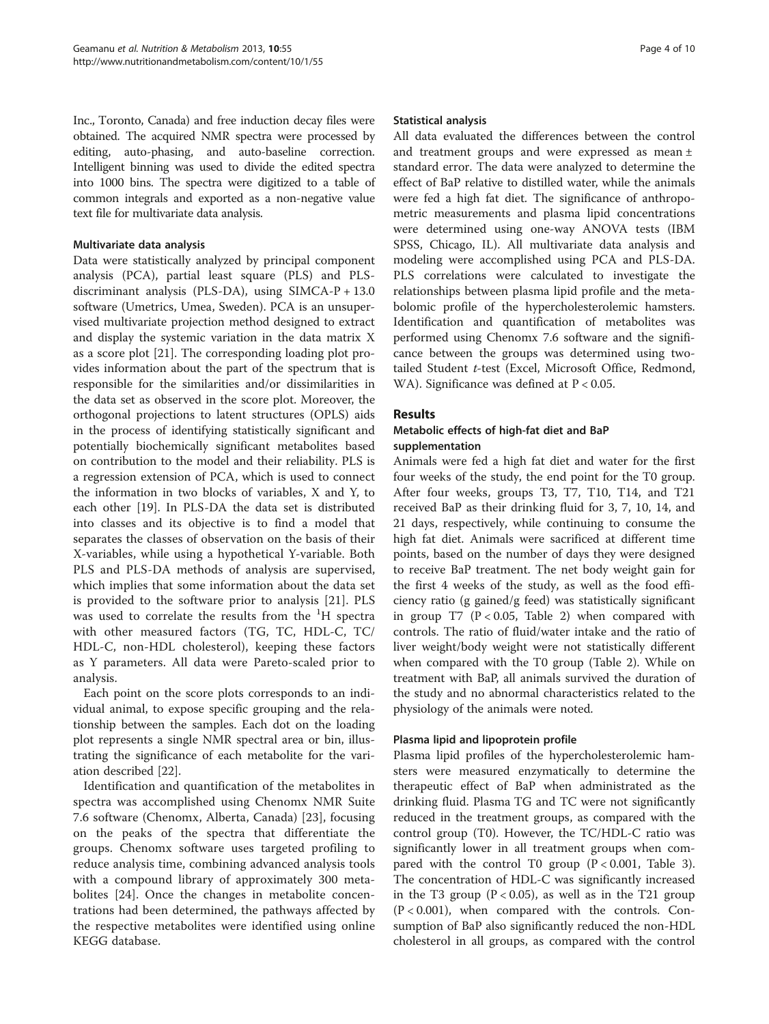Inc., Toronto, Canada) and free induction decay files were obtained. The acquired NMR spectra were processed by editing, auto-phasing, and auto-baseline correction. Intelligent binning was used to divide the edited spectra into 1000 bins. The spectra were digitized to a table of common integrals and exported as a non-negative value text file for multivariate data analysis.

#### Multivariate data analysis

Data were statistically analyzed by principal component analysis (PCA), partial least square (PLS) and PLSdiscriminant analysis (PLS-DA), using SIMCA-P + 13.0 software (Umetrics, Umea, Sweden). PCA is an unsupervised multivariate projection method designed to extract and display the systemic variation in the data matrix X as a score plot [[21\]](#page-9-0). The corresponding loading plot provides information about the part of the spectrum that is responsible for the similarities and/or dissimilarities in the data set as observed in the score plot. Moreover, the orthogonal projections to latent structures (OPLS) aids in the process of identifying statistically significant and potentially biochemically significant metabolites based on contribution to the model and their reliability. PLS is a regression extension of PCA, which is used to connect the information in two blocks of variables, X and Y, to each other [\[19\]](#page-9-0). In PLS-DA the data set is distributed into classes and its objective is to find a model that separates the classes of observation on the basis of their X-variables, while using a hypothetical Y-variable. Both PLS and PLS-DA methods of analysis are supervised, which implies that some information about the data set is provided to the software prior to analysis [\[21](#page-9-0)]. PLS was used to correlate the results from the <sup>1</sup>H spectra with other measured factors (TG, TC, HDL-C, TC/ HDL-C, non-HDL cholesterol), keeping these factors as Y parameters. All data were Pareto-scaled prior to analysis.

Each point on the score plots corresponds to an individual animal, to expose specific grouping and the relationship between the samples. Each dot on the loading plot represents a single NMR spectral area or bin, illustrating the significance of each metabolite for the variation described [\[22\]](#page-9-0).

Identification and quantification of the metabolites in spectra was accomplished using Chenomx NMR Suite 7.6 software (Chenomx, Alberta, Canada) [[23](#page-9-0)], focusing on the peaks of the spectra that differentiate the groups. Chenomx software uses targeted profiling to reduce analysis time, combining advanced analysis tools with a compound library of approximately 300 metabolites [[24](#page-9-0)]. Once the changes in metabolite concentrations had been determined, the pathways affected by the respective metabolites were identified using online KEGG database.

#### Statistical analysis

All data evaluated the differences between the control and treatment groups and were expressed as mean ± standard error. The data were analyzed to determine the effect of BaP relative to distilled water, while the animals were fed a high fat diet. The significance of anthropometric measurements and plasma lipid concentrations were determined using one-way ANOVA tests (IBM SPSS, Chicago, IL). All multivariate data analysis and modeling were accomplished using PCA and PLS-DA. PLS correlations were calculated to investigate the relationships between plasma lipid profile and the metabolomic profile of the hypercholesterolemic hamsters. Identification and quantification of metabolites was performed using Chenomx 7.6 software and the significance between the groups was determined using twotailed Student t-test (Excel, Microsoft Office, Redmond, WA). Significance was defined at  $P < 0.05$ .

## **Results**

## Metabolic effects of high-fat diet and BaP supplementation

Animals were fed a high fat diet and water for the first four weeks of the study, the end point for the T0 group. After four weeks, groups T3, T7, T10, T14, and T21 received BaP as their drinking fluid for 3, 7, 10, 14, and 21 days, respectively, while continuing to consume the high fat diet. Animals were sacrificed at different time points, based on the number of days they were designed to receive BaP treatment. The net body weight gain for the first 4 weeks of the study, as well as the food efficiency ratio (g gained/g feed) was statistically significant in group T7 ( $P < 0.05$ , Table [2\)](#page-4-0) when compared with controls. The ratio of fluid/water intake and the ratio of liver weight/body weight were not statistically different when compared with the T0 group (Table [2](#page-4-0)). While on treatment with BaP, all animals survived the duration of the study and no abnormal characteristics related to the physiology of the animals were noted.

## Plasma lipid and lipoprotein profile

Plasma lipid profiles of the hypercholesterolemic hamsters were measured enzymatically to determine the therapeutic effect of BaP when administrated as the drinking fluid. Plasma TG and TC were not significantly reduced in the treatment groups, as compared with the control group (T0). However, the TC/HDL-C ratio was significantly lower in all treatment groups when compared with the control T0 group  $(P < 0.001$ , Table [3](#page-4-0)). The concentration of HDL-C was significantly increased in the T3 group ( $P < 0.05$ ), as well as in the T21 group  $(P < 0.001)$ , when compared with the controls. Consumption of BaP also significantly reduced the non-HDL cholesterol in all groups, as compared with the control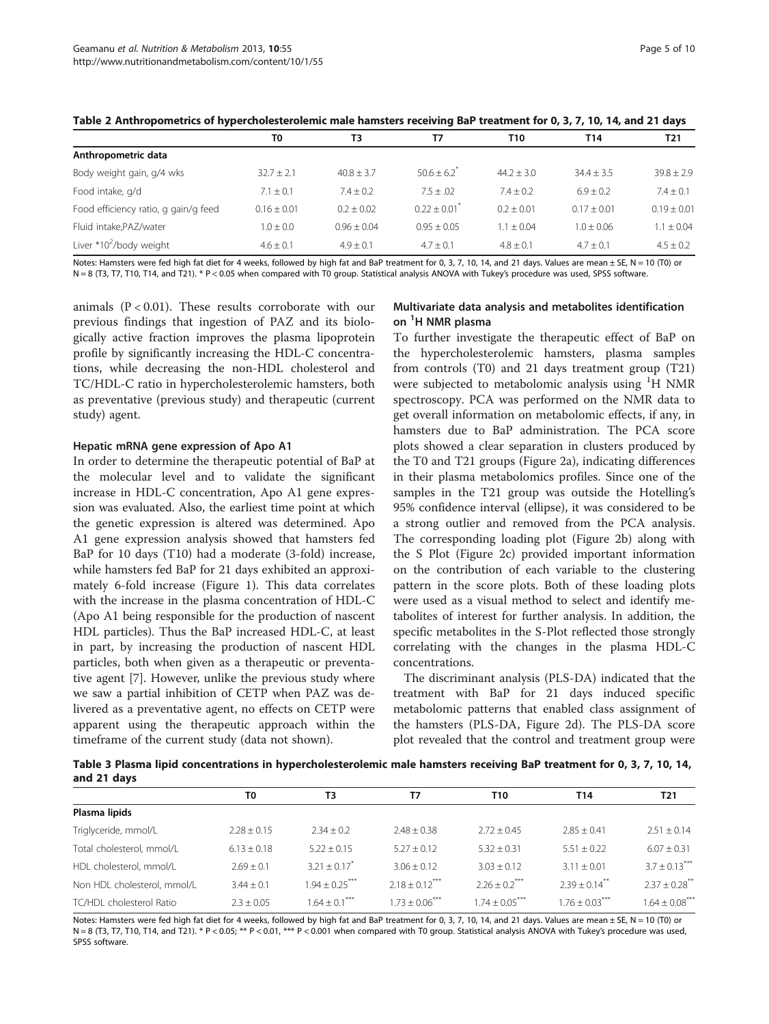|                                      | T0            | ТЗ             | Τ7            | T10           | T14            | T21             |
|--------------------------------------|---------------|----------------|---------------|---------------|----------------|-----------------|
| Anthropometric data                  |               |                |               |               |                |                 |
| Body weight gain, g/4 wks            | $32.7 + 2.1$  | $40.8 \pm 3.7$ | $50.6 + 6.2$  | $44.2 + 3.0$  | $34.4 \pm 3.5$ | $39.8 + 2.9$    |
| Food intake, g/d                     | $7.1 \pm 0.1$ | $7.4 + 0.2$    | $7.5 + .02$   | $7.4 + 0.2$   | $6.9 \pm 0.2$  | $7.4 \pm 0.1$   |
| Food efficiency ratio, g gain/g feed | $0.16 + 0.01$ | $0.2 + 0.02$   | $0.22 + 0.01$ | $0.2 + 0.01$  | $0.17 + 0.01$  | $0.19 \pm 0.01$ |
| Fluid intake, PAZ/water              | $1.0 \pm 0.0$ | $0.96 + 0.04$  | $0.95 + 0.05$ | $1.1 + 0.04$  | $1.0 + 0.06$   | $1.1 \pm 0.04$  |
| Liver *10 <sup>2</sup> /body weight  | $4.6 \pm 0.1$ | $4.9 \pm 0.1$  | $4.7 + 0.1$   | $4.8 \pm 0.1$ | $4.7 \pm 0.1$  | $4.5 \pm 0.2$   |

#### <span id="page-4-0"></span>Table 2 Anthropometrics of hypercholesterolemic male hamsters receiving BaP treatment for 0, 3, 7, 10, 14, and 21 days

Notes: Hamsters were fed high fat diet for 4 weeks, followed by high fat and BaP treatment for 0, 3, 7, 10, 14, and 21 days. Values are mean ± SE, N = 10 (T0) or N = 8 (T3, T7, T10, T14, and T21). \* P < 0.05 when compared with T0 group. Statistical analysis ANOVA with Tukey's procedure was used, SPSS software.

animals  $(P < 0.01)$ . These results corroborate with our previous findings that ingestion of PAZ and its biologically active fraction improves the plasma lipoprotein profile by significantly increasing the HDL-C concentrations, while decreasing the non-HDL cholesterol and TC/HDL-C ratio in hypercholesterolemic hamsters, both as preventative (previous study) and therapeutic (current study) agent.

#### Hepatic mRNA gene expression of Apo A1

In order to determine the therapeutic potential of BaP at the molecular level and to validate the significant increase in HDL-C concentration, Apo A1 gene expression was evaluated. Also, the earliest time point at which the genetic expression is altered was determined. Apo A1 gene expression analysis showed that hamsters fed BaP for 10 days (T10) had a moderate (3-fold) increase, while hamsters fed BaP for 21 days exhibited an approximately 6-fold increase (Figure [1](#page-5-0)). This data correlates with the increase in the plasma concentration of HDL-C (Apo A1 being responsible for the production of nascent HDL particles). Thus the BaP increased HDL-C, at least in part, by increasing the production of nascent HDL particles, both when given as a therapeutic or preventative agent [\[7](#page-9-0)]. However, unlike the previous study where we saw a partial inhibition of CETP when PAZ was delivered as a preventative agent, no effects on CETP were apparent using the therapeutic approach within the timeframe of the current study (data not shown).

## Multivariate data analysis and metabolites identification on <sup>1</sup>H NMR plasma

To further investigate the therapeutic effect of BaP on the hypercholesterolemic hamsters, plasma samples from controls (T0) and 21 days treatment group (T21) were subjected to metabolomic analysis using <sup>1</sup>H NMR spectroscopy. PCA was performed on the NMR data to get overall information on metabolomic effects, if any, in hamsters due to BaP administration. The PCA score plots showed a clear separation in clusters produced by the T0 and T21 groups (Figure [2a](#page-6-0)), indicating differences in their plasma metabolomics profiles. Since one of the samples in the T21 group was outside the Hotelling's 95% confidence interval (ellipse), it was considered to be a strong outlier and removed from the PCA analysis. The corresponding loading plot (Figure [2](#page-6-0)b) along with the S Plot (Figure [2c](#page-6-0)) provided important information on the contribution of each variable to the clustering pattern in the score plots. Both of these loading plots were used as a visual method to select and identify metabolites of interest for further analysis. In addition, the specific metabolites in the S-Plot reflected those strongly correlating with the changes in the plasma HDL-C concentrations.

The discriminant analysis (PLS-DA) indicated that the treatment with BaP for 21 days induced specific metabolomic patterns that enabled class assignment of the hamsters (PLS-DA, Figure [2d](#page-6-0)). The PLS-DA score plot revealed that the control and treatment group were

Table 3 Plasma lipid concentrations in hypercholesterolemic male hamsters receiving BaP treatment for 0, 3, 7, 10, 14, and 21 days

|                             | T0            | T3                            | T7                             | T10                           | T14                           | T21                         |
|-----------------------------|---------------|-------------------------------|--------------------------------|-------------------------------|-------------------------------|-----------------------------|
| Plasma lipids               |               |                               |                                |                               |                               |                             |
| Triglyceride, mmol/L        | $2.28 + 0.15$ | $2.34 + 0.2$                  | $2.48 \pm 0.38$                | $2.72 \pm 0.45$               | $7.85 + 0.41$                 | $2.51 + 0.14$               |
| Total cholesterol, mmol/L   | $6.13 + 0.18$ | $5.22 + 0.15$                 | $5.27 + 0.12$                  | $5.32 + 0.31$                 | $5.51 + 0.22$                 | $6.07 \pm 0.31$             |
| HDL cholesterol, mmol/L     | $2.69 + 0.1$  | $3.21 + 0.17$ <sup>*</sup>    | $3.06 + 0.12$                  | $3.03 + 0.12$                 | $3.11 + 0.01$                 | $3.7 \pm 0.13***$           |
| Non HDL cholesterol, mmol/L | $3.44 + 0.1$  | $1.94 + 0.25$ <sup>****</sup> | $2.18 \pm 0.12$ <sup>***</sup> | $2.26 \pm 0.2$ <sup>***</sup> | $2.39 \pm 0.14$ <sup>**</sup> | $2.37 + 0.28$ <sup>**</sup> |
| TC/HDL cholesterol Ratio    | $2.3 + 0.05$  | $.64 + 0.1^{\circ}$           | $1.73 + 0.06$                  | $1.74 + 0.05^{*}$             | $1.76 + 0.03$                 | $1.64 + 0.08$ ***           |

Notes: Hamsters were fed high fat diet for 4 weeks, followed by high fat and BaP treatment for 0, 3, 7, 10, 14, and 21 days. Values are mean ± SE, N = 10 (T0) or N = 8 (T3, T7, T10, T14, and T21). \* P < 0.05; \*\* P < 0.01, \*\*\* P < 0.001 when compared with T0 group. Statistical analysis ANOVA with Tukey's procedure was used, SPSS software.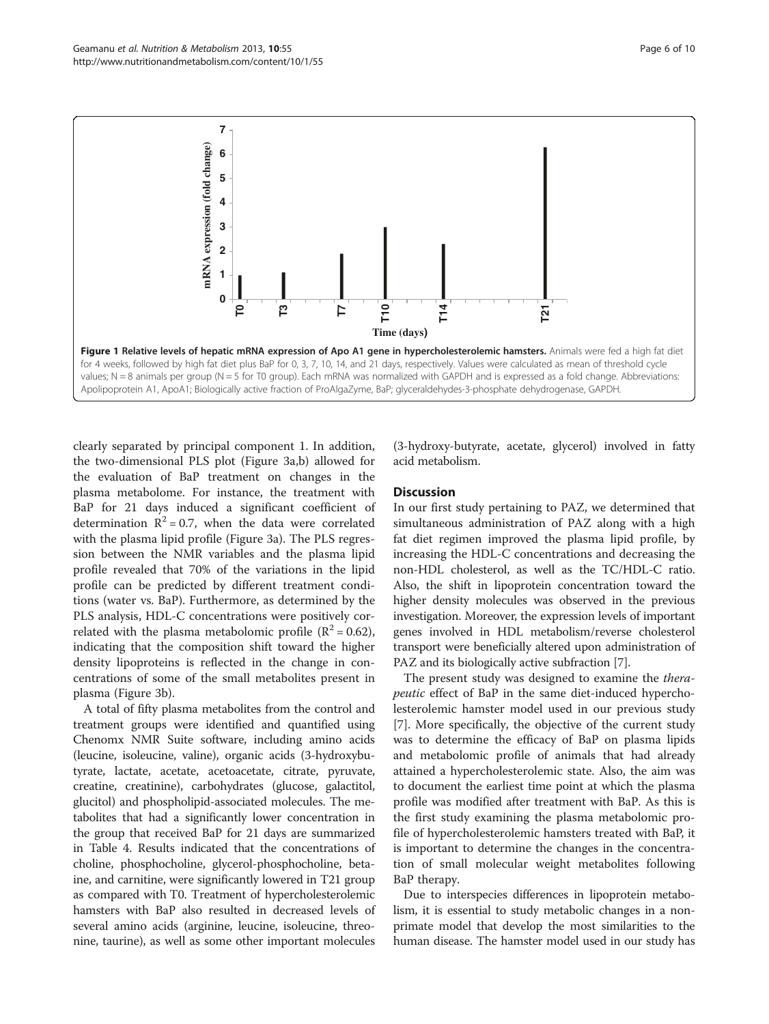<span id="page-5-0"></span>

clearly separated by principal component 1. In addition, the two-dimensional PLS plot (Figure [3a](#page-7-0),b) allowed for the evaluation of BaP treatment on changes in the plasma metabolome. For instance, the treatment with BaP for 21 days induced a significant coefficient of determination  $R^2 = 0.7$ , when the data were correlated with the plasma lipid profile (Figure [3a](#page-7-0)). The PLS regression between the NMR variables and the plasma lipid profile revealed that 70% of the variations in the lipid profile can be predicted by different treatment conditions (water vs. BaP). Furthermore, as determined by the PLS analysis, HDL-C concentrations were positively correlated with the plasma metabolomic profile ( $\mathbb{R}^2 = 0.62$ ), indicating that the composition shift toward the higher density lipoproteins is reflected in the change in concentrations of some of the small metabolites present in plasma (Figure [3](#page-7-0)b).

A total of fifty plasma metabolites from the control and treatment groups were identified and quantified using Chenomx NMR Suite software, including amino acids (leucine, isoleucine, valine), organic acids (3-hydroxybutyrate, lactate, acetate, acetoacetate, citrate, pyruvate, creatine, creatinine), carbohydrates (glucose, galactitol, glucitol) and phospholipid-associated molecules. The metabolites that had a significantly lower concentration in the group that received BaP for 21 days are summarized in Table [4](#page-7-0). Results indicated that the concentrations of choline, phosphocholine, glycerol-phosphocholine, betaine, and carnitine, were significantly lowered in T21 group as compared with T0. Treatment of hypercholesterolemic hamsters with BaP also resulted in decreased levels of several amino acids (arginine, leucine, isoleucine, threonine, taurine), as well as some other important molecules (3-hydroxy-butyrate, acetate, glycerol) involved in fatty acid metabolism.

#### **Discussion**

In our first study pertaining to PAZ, we determined that simultaneous administration of PAZ along with a high fat diet regimen improved the plasma lipid profile, by increasing the HDL-C concentrations and decreasing the non-HDL cholesterol, as well as the TC/HDL-C ratio. Also, the shift in lipoprotein concentration toward the higher density molecules was observed in the previous investigation. Moreover, the expression levels of important genes involved in HDL metabolism/reverse cholesterol transport were beneficially altered upon administration of PAZ and its biologically active subfraction [\[7](#page-9-0)].

The present study was designed to examine the therapeutic effect of BaP in the same diet-induced hypercholesterolemic hamster model used in our previous study [[7\]](#page-9-0). More specifically, the objective of the current study was to determine the efficacy of BaP on plasma lipids and metabolomic profile of animals that had already attained a hypercholesterolemic state. Also, the aim was to document the earliest time point at which the plasma profile was modified after treatment with BaP. As this is the first study examining the plasma metabolomic profile of hypercholesterolemic hamsters treated with BaP, it is important to determine the changes in the concentration of small molecular weight metabolites following BaP therapy.

Due to interspecies differences in lipoprotein metabolism, it is essential to study metabolic changes in a nonprimate model that develop the most similarities to the human disease. The hamster model used in our study has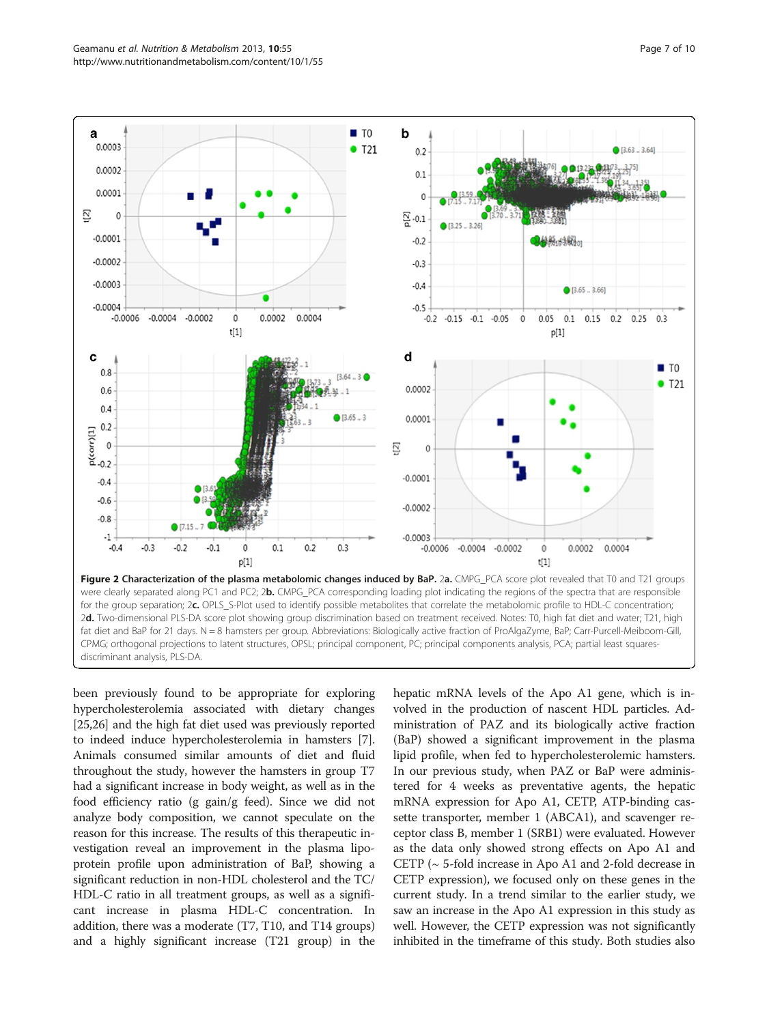<span id="page-6-0"></span>

been previously found to be appropriate for exploring hypercholesterolemia associated with dietary changes [[25,26](#page-9-0)] and the high fat diet used was previously reported to indeed induce hypercholesterolemia in hamsters [[7](#page-9-0)]. Animals consumed similar amounts of diet and fluid throughout the study, however the hamsters in group T7 had a significant increase in body weight, as well as in the food efficiency ratio (g gain/g feed). Since we did not analyze body composition, we cannot speculate on the reason for this increase. The results of this therapeutic investigation reveal an improvement in the plasma lipoprotein profile upon administration of BaP, showing a significant reduction in non-HDL cholesterol and the TC/ HDL-C ratio in all treatment groups, as well as a significant increase in plasma HDL-C concentration. In addition, there was a moderate (T7, T10, and T14 groups) and a highly significant increase (T21 group) in the hepatic mRNA levels of the Apo A1 gene, which is involved in the production of nascent HDL particles. Administration of PAZ and its biologically active fraction (BaP) showed a significant improvement in the plasma lipid profile, when fed to hypercholesterolemic hamsters. In our previous study, when PAZ or BaP were administered for 4 weeks as preventative agents, the hepatic mRNA expression for Apo A1, CETP, ATP-binding cassette transporter, member 1 (ABCA1), and scavenger receptor class B, member 1 (SRB1) were evaluated. However as the data only showed strong effects on Apo A1 and CETP (~ 5-fold increase in Apo A1 and 2-fold decrease in CETP expression), we focused only on these genes in the current study. In a trend similar to the earlier study, we saw an increase in the Apo A1 expression in this study as well. However, the CETP expression was not significantly inhibited in the timeframe of this study. Both studies also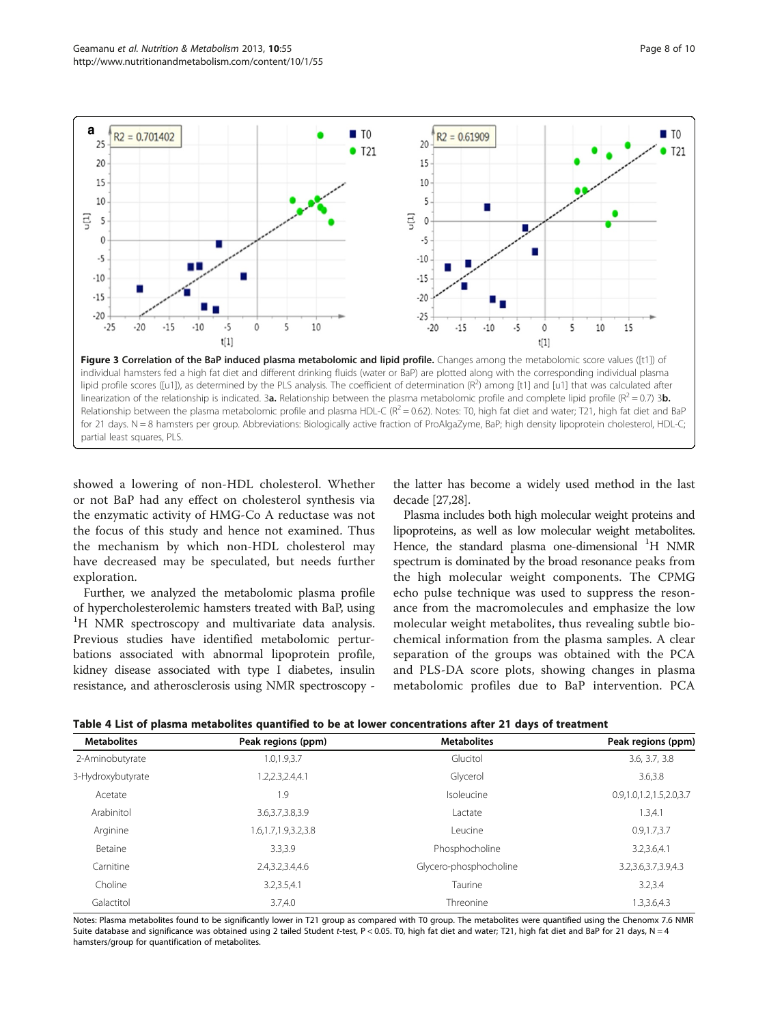<span id="page-7-0"></span>

showed a lowering of non-HDL cholesterol. Whether or not BaP had any effect on cholesterol synthesis via the enzymatic activity of HMG-Co A reductase was not the focus of this study and hence not examined. Thus the mechanism by which non-HDL cholesterol may have decreased may be speculated, but needs further exploration.

partial least squares, PLS.

Further, we analyzed the metabolomic plasma profile of hypercholesterolemic hamsters treated with BaP, using <sup>1</sup>H NMR spectroscopy and multivariate data analysis. Previous studies have identified metabolomic perturbations associated with abnormal lipoprotein profile, kidney disease associated with type I diabetes, insulin resistance, and atherosclerosis using NMR spectroscopy -

the latter has become a widely used method in the last decade [\[27,28](#page-9-0)].

Plasma includes both high molecular weight proteins and lipoproteins, as well as low molecular weight metabolites. Hence, the standard plasma one-dimensional <sup>1</sup>H NMR spectrum is dominated by the broad resonance peaks from the high molecular weight components. The CPMG echo pulse technique was used to suppress the resonance from the macromolecules and emphasize the low molecular weight metabolites, thus revealing subtle biochemical information from the plasma samples. A clear separation of the groups was obtained with the PCA and PLS-DA score plots, showing changes in plasma metabolomic profiles due to BaP intervention. PCA

| Table 4 List of plasma metabolites quantified to be at lower concentrations after 21 days of treatment |  |  |  |
|--------------------------------------------------------------------------------------------------------|--|--|--|
|--------------------------------------------------------------------------------------------------------|--|--|--|

| <b>Metabolites</b> | Peak regions (ppm)      | <b>Metabolites</b>     | Peak regions (ppm)           |  |
|--------------------|-------------------------|------------------------|------------------------------|--|
| 2-Aminobutyrate    | 1.0,1.9,3.7             | Glucitol               | 3.6, 3.7, 3.8                |  |
| 3-Hydroxybutyrate  | 1.2,2.3,2.4,4.1         | Glycerol               | 3.6,3.8                      |  |
| Acetate            | 1.9                     | Isoleucine             | 0.9, 1.0, 1.2, 1.5, 2.0, 3.7 |  |
| Arabinitol         | 3.6, 3.7, 3.8, 3.9      | Lactate                | 1.3,4.1                      |  |
| Arginine           | 1.6, 1.7, 1.9, 3.2, 3.8 | Leucine                | 0.9, 1.7, 3.7                |  |
| Betaine            | 3.3.3.9                 | Phosphocholine         | 3.2,3.6,4.1                  |  |
| Carnitine          | 2.4,3.2,3.4,4.6         | Glycero-phosphocholine | 3.2, 3.6, 3.7, 3.9, 4.3      |  |
| Choline            | 3.2,3.5,4.1             | Taurine                | 3.2.3.4                      |  |
| Galactitol         | 3.7.4.0                 | Threonine              | 1.3,3.6,4.3                  |  |

Notes: Plasma metabolites found to be significantly lower in T21 group as compared with T0 group. The metabolites were quantified using the Chenomx 7.6 NMR Suite database and significance was obtained using 2 tailed Student t-test, P < 0.05. T0, high fat diet and water; T21, high fat diet and BaP for 21 days, N = 4 hamsters/group for quantification of metabolites.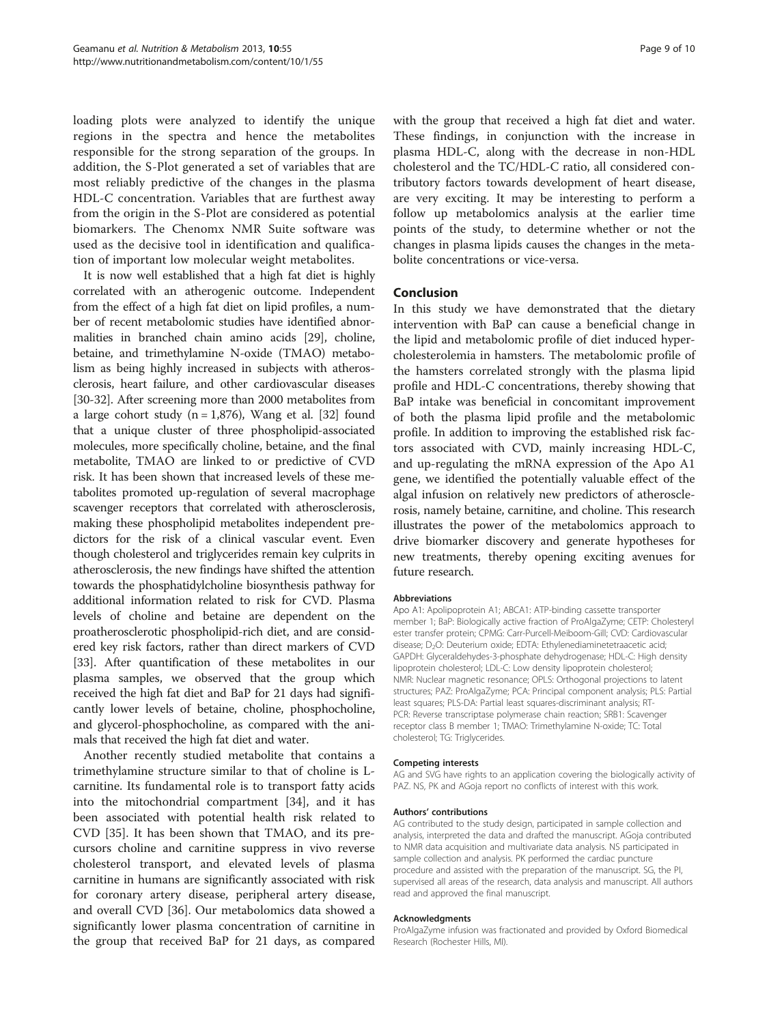loading plots were analyzed to identify the unique regions in the spectra and hence the metabolites responsible for the strong separation of the groups. In addition, the S-Plot generated a set of variables that are most reliably predictive of the changes in the plasma HDL-C concentration. Variables that are furthest away from the origin in the S-Plot are considered as potential biomarkers. The Chenomx NMR Suite software was used as the decisive tool in identification and qualification of important low molecular weight metabolites.

It is now well established that a high fat diet is highly correlated with an atherogenic outcome. Independent from the effect of a high fat diet on lipid profiles, a number of recent metabolomic studies have identified abnormalities in branched chain amino acids [[29](#page-9-0)], choline, betaine, and trimethylamine N-oxide (TMAO) metabolism as being highly increased in subjects with atherosclerosis, heart failure, and other cardiovascular diseases [[30](#page-9-0)-[32\]](#page-9-0). After screening more than 2000 metabolites from a large cohort study  $(n = 1,876)$ , Wang et al. [\[32\]](#page-9-0) found that a unique cluster of three phospholipid-associated molecules, more specifically choline, betaine, and the final metabolite, TMAO are linked to or predictive of CVD risk. It has been shown that increased levels of these metabolites promoted up-regulation of several macrophage scavenger receptors that correlated with atherosclerosis, making these phospholipid metabolites independent predictors for the risk of a clinical vascular event. Even though cholesterol and triglycerides remain key culprits in atherosclerosis, the new findings have shifted the attention towards the phosphatidylcholine biosynthesis pathway for additional information related to risk for CVD. Plasma levels of choline and betaine are dependent on the proatherosclerotic phospholipid-rich diet, and are considered key risk factors, rather than direct markers of CVD [[33](#page-9-0)]. After quantification of these metabolites in our plasma samples, we observed that the group which received the high fat diet and BaP for 21 days had significantly lower levels of betaine, choline, phosphocholine, and glycerol-phosphocholine, as compared with the animals that received the high fat diet and water.

Another recently studied metabolite that contains a trimethylamine structure similar to that of choline is Lcarnitine. Its fundamental role is to transport fatty acids into the mitochondrial compartment [\[34](#page-9-0)], and it has been associated with potential health risk related to CVD [[35](#page-9-0)]. It has been shown that TMAO, and its precursors choline and carnitine suppress in vivo reverse cholesterol transport, and elevated levels of plasma carnitine in humans are significantly associated with risk for coronary artery disease, peripheral artery disease, and overall CVD [[36\]](#page-9-0). Our metabolomics data showed a significantly lower plasma concentration of carnitine in the group that received BaP for 21 days, as compared with the group that received a high fat diet and water. These findings, in conjunction with the increase in plasma HDL-C, along with the decrease in non-HDL cholesterol and the TC/HDL-C ratio, all considered contributory factors towards development of heart disease, are very exciting. It may be interesting to perform a follow up metabolomics analysis at the earlier time points of the study, to determine whether or not the changes in plasma lipids causes the changes in the metabolite concentrations or vice-versa.

#### Conclusion

In this study we have demonstrated that the dietary intervention with BaP can cause a beneficial change in the lipid and metabolomic profile of diet induced hypercholesterolemia in hamsters. The metabolomic profile of the hamsters correlated strongly with the plasma lipid profile and HDL-C concentrations, thereby showing that BaP intake was beneficial in concomitant improvement of both the plasma lipid profile and the metabolomic profile. In addition to improving the established risk factors associated with CVD, mainly increasing HDL-C, and up-regulating the mRNA expression of the Apo A1 gene, we identified the potentially valuable effect of the algal infusion on relatively new predictors of atherosclerosis, namely betaine, carnitine, and choline. This research illustrates the power of the metabolomics approach to drive biomarker discovery and generate hypotheses for new treatments, thereby opening exciting avenues for future research.

#### Abbreviations

Apo A1: Apolipoprotein A1; ABCA1: ATP-binding cassette transporter member 1; BaP: Biologically active fraction of ProAlgaZyme; CETP: Cholesteryl ester transfer protein; CPMG: Carr-Purcell-Meiboom-Gill; CVD: Cardiovascular disease; D<sub>2</sub>O: Deuterium oxide; EDTA: Ethylenediaminetetraacetic acid; GAPDH: Glyceraldehydes-3-phosphate dehydrogenase; HDL-C: High density lipoprotein cholesterol; LDL-C: Low density lipoprotein cholesterol; NMR: Nuclear magnetic resonance; OPLS: Orthogonal projections to latent structures; PAZ: ProAlgaZyme; PCA: Principal component analysis; PLS: Partial least squares; PLS-DA: Partial least squares-discriminant analysis; RT-PCR: Reverse transcriptase polymerase chain reaction; SRB1: Scavenger receptor class B member 1; TMAO: Trimethylamine N-oxide; TC: Total cholesterol; TG: Triglycerides.

#### Competing interests

AG and SVG have rights to an application covering the biologically activity of PAZ. NS, PK and AGoja report no conflicts of interest with this work.

#### Authors' contributions

AG contributed to the study design, participated in sample collection and analysis, interpreted the data and drafted the manuscript. AGoja contributed to NMR data acquisition and multivariate data analysis. NS participated in sample collection and analysis. PK performed the cardiac puncture procedure and assisted with the preparation of the manuscript. SG, the PI, supervised all areas of the research, data analysis and manuscript. All authors read and approved the final manuscript.

#### Acknowledgments

ProAlgaZyme infusion was fractionated and provided by Oxford Biomedical Research (Rochester Hills, MI).